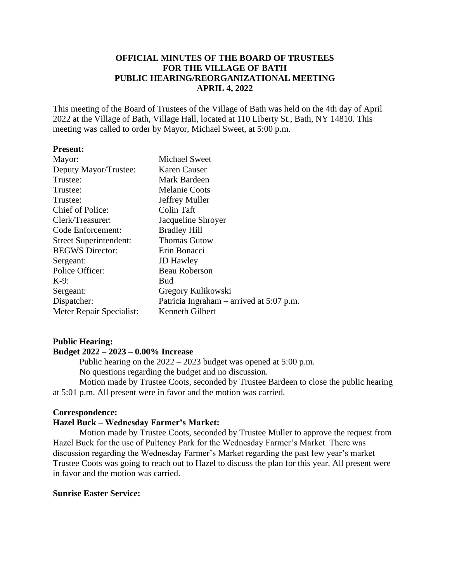# **OFFICIAL MINUTES OF THE BOARD OF TRUSTEES FOR THE VILLAGE OF BATH PUBLIC HEARING/REORGANIZATIONAL MEETING APRIL 4, 2022**

This meeting of the Board of Trustees of the Village of Bath was held on the 4th day of April 2022 at the Village of Bath, Village Hall, located at 110 Liberty St., Bath, NY 14810. This meeting was called to order by Mayor, Michael Sweet, at 5:00 p.m.

## **Present:**

| <b>Michael Sweet</b>                       |
|--------------------------------------------|
| Karen Causer                               |
| Mark Bardeen                               |
| <b>Melanie Coots</b>                       |
| Jeffrey Muller                             |
| Colin Taft                                 |
| Jacqueline Shroyer                         |
| <b>Bradley Hill</b>                        |
| <b>Thomas Gutow</b>                        |
| Erin Bonacci                               |
| <b>JD</b> Hawley                           |
| <b>Beau Roberson</b>                       |
| <b>Bud</b>                                 |
| Gregory Kulikowski                         |
| Patricia Ingraham – arrived at $5:07$ p.m. |
| Kenneth Gilbert                            |
|                                            |

# **Public Hearing:**

# **Budget 2022 – 2023 – 0.00% Increase**

Public hearing on the 2022 – 2023 budget was opened at 5:00 p.m. No questions regarding the budget and no discussion.

Motion made by Trustee Coots, seconded by Trustee Bardeen to close the public hearing at 5:01 p.m. All present were in favor and the motion was carried.

## **Correspondence:**

## **Hazel Buck – Wednesday Farmer's Market:**

Motion made by Trustee Coots, seconded by Trustee Muller to approve the request from Hazel Buck for the use of Pulteney Park for the Wednesday Farmer's Market. There was discussion regarding the Wednesday Farmer's Market regarding the past few year's market Trustee Coots was going to reach out to Hazel to discuss the plan for this year. All present were in favor and the motion was carried.

# **Sunrise Easter Service:**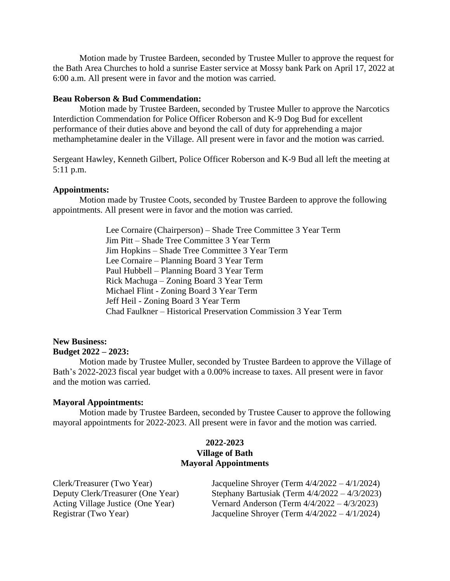Motion made by Trustee Bardeen, seconded by Trustee Muller to approve the request for the Bath Area Churches to hold a sunrise Easter service at Mossy bank Park on April 17, 2022 at 6:00 a.m. All present were in favor and the motion was carried.

#### **Beau Roberson & Bud Commendation:**

Motion made by Trustee Bardeen, seconded by Trustee Muller to approve the Narcotics Interdiction Commendation for Police Officer Roberson and K-9 Dog Bud for excellent performance of their duties above and beyond the call of duty for apprehending a major methamphetamine dealer in the Village. All present were in favor and the motion was carried.

Sergeant Hawley, Kenneth Gilbert, Police Officer Roberson and K-9 Bud all left the meeting at 5:11 p.m.

#### **Appointments:**

Motion made by Trustee Coots, seconded by Trustee Bardeen to approve the following appointments. All present were in favor and the motion was carried.

> Lee Cornaire (Chairperson) – Shade Tree Committee 3 Year Term Jim Pitt – Shade Tree Committee 3 Year Term Jim Hopkins – Shade Tree Committee 3 Year Term Lee Cornaire – Planning Board 3 Year Term Paul Hubbell – Planning Board 3 Year Term Rick Machuga – Zoning Board 3 Year Term Michael Flint - Zoning Board 3 Year Term Jeff Heil - Zoning Board 3 Year Term Chad Faulkner – Historical Preservation Commission 3 Year Term

# **New Business: Budget 2022 – 2023:**

Motion made by Trustee Muller, seconded by Trustee Bardeen to approve the Village of Bath's 2022-2023 fiscal year budget with a 0.00% increase to taxes. All present were in favor and the motion was carried.

#### **Mayoral Appointments:**

Motion made by Trustee Bardeen, seconded by Trustee Causer to approve the following mayoral appointments for 2022-2023. All present were in favor and the motion was carried.

# **2022-2023 Village of Bath Mayoral Appointments**

| Clerk/Treasurer (Two Year)        | Jacqueline Shroyer (Term $4/4/2022 - 4/1/2024$ ) |
|-----------------------------------|--------------------------------------------------|
| Deputy Clerk/Treasurer (One Year) | Stephany Bartusiak (Term $4/4/2022 - 4/3/2023$ ) |
| Acting Village Justice (One Year) | Vernard Anderson (Term $4/4/2022 - 4/3/2023$ )   |
| Registrar (Two Year)              | Jacqueline Shroyer (Term $4/4/2022 - 4/1/2024$ ) |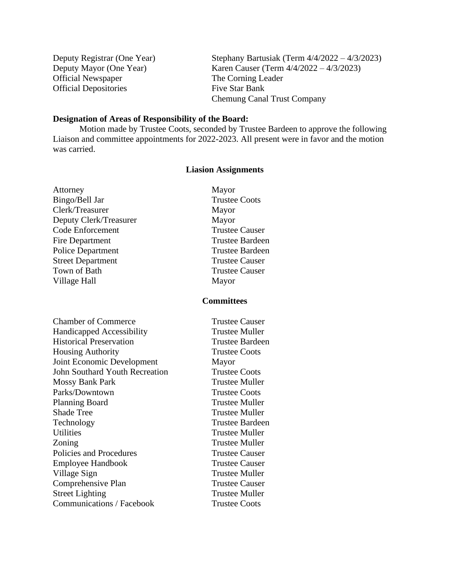Deputy Registrar (One Year) Stephany Bartusiak (Term 4/4/2022 – 4/3/2023) Deputy Mayor (One Year) Karen Causer (Term 4/4/2022 – 4/3/2023) Official Newspaper The Corning Leader Official Depositories Five Star Bank Chemung Canal Trust Company

## **Designation of Areas of Responsibility of the Board:**

Motion made by Trustee Coots, seconded by Trustee Bardeen to approve the following Liaison and committee appointments for 2022-2023. All present were in favor and the motion was carried.

## **Liasion Assignments**

Attorney Mayor Bingo/Bell Jar Trustee Coots Clerk/Treasurer Mayor Deputy Clerk/Treasurer Mayor Code Enforcement Trustee Causer Fire Department Trustee Bardeen Police Department Trustee Bardeen Street Department Trustee Causer Town of Bath Trustee Causer Village Hall Mayor

## **Committees**

**Chamber of Commerce** Trustee Causer Handicapped Accessibility Trustee Muller Historical Preservation Trustee Bardeen Housing Authority **Trustee Coots** Joint Economic Development Mayor John Southard Youth Recreation Trustee Coots Mossy Bank Park Trustee Muller Parks/Downtown Trustee Coots Planning Board Trustee Muller Shade Tree Trustee Muller Technology Trustee Bardeen Utilities Trustee Muller Zoning Trustee Muller Policies and Procedures Trustee Causer Employee Handbook Trustee Causer Village Sign Trustee Muller Comprehensive Plan Trustee Causer Street Lighting Trustee Muller Communications / Facebook Trustee Coots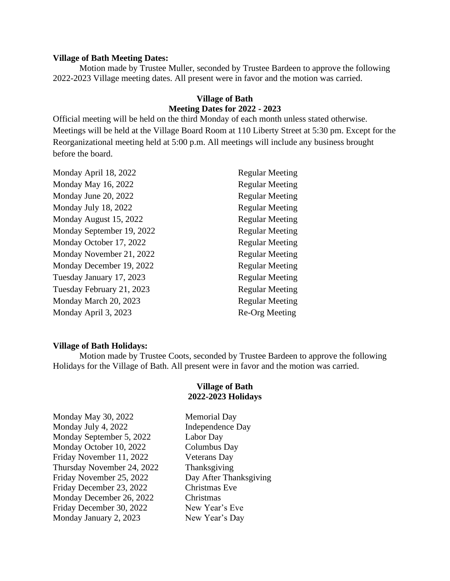#### **Village of Bath Meeting Dates:**

Motion made by Trustee Muller, seconded by Trustee Bardeen to approve the following 2022-2023 Village meeting dates. All present were in favor and the motion was carried.

# **Village of Bath Meeting Dates for 2022 - 2023**

Official meeting will be held on the third Monday of each month unless stated otherwise. Meetings will be held at the Village Board Room at 110 Liberty Street at 5:30 pm. Except for the Reorganizational meeting held at 5:00 p.m. All meetings will include any business brought before the board.

| Monday April 18, 2022     | <b>Regular Meeting</b> |
|---------------------------|------------------------|
| Monday May 16, 2022       | <b>Regular Meeting</b> |
| Monday June 20, 2022      | <b>Regular Meeting</b> |
| Monday July 18, 2022      | <b>Regular Meeting</b> |
| Monday August 15, 2022    | <b>Regular Meeting</b> |
| Monday September 19, 2022 | <b>Regular Meeting</b> |
| Monday October 17, 2022   | <b>Regular Meeting</b> |
| Monday November 21, 2022  | <b>Regular Meeting</b> |
| Monday December 19, 2022  | <b>Regular Meeting</b> |
| Tuesday January 17, 2023  | <b>Regular Meeting</b> |
| Tuesday February 21, 2023 | <b>Regular Meeting</b> |
| Monday March 20, 2023     | <b>Regular Meeting</b> |
| Monday April 3, 2023      | Re-Org Meeting         |
|                           |                        |

#### **Village of Bath Holidays:**

Motion made by Trustee Coots, seconded by Trustee Bardeen to approve the following Holidays for the Village of Bath. All present were in favor and the motion was carried.

## **Village of Bath 2022-2023 Holidays**

| Monday May 30, 2022        |
|----------------------------|
| Monday July 4, 2022        |
| Monday September 5, 2022   |
| Monday October 10, 2022    |
| Friday November 11, 2022   |
| Thursday November 24, 2022 |
| Friday November 25, 2022   |
| Friday December 23, 2022   |
| Monday December 26, 2022   |
| Friday December 30, 2022   |
| Monday January 2, 2023     |

Memorial Day Independence Day Labor Day Columbus Day Veterans Day Thanksgiving Day After Thanksgiving Christmas Eve Christmas New Year's Eve ry 2, 2023 New Year's Day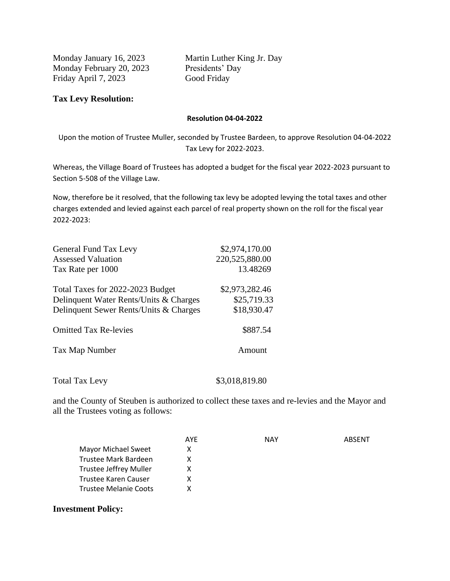Monday February 20, 2023 Presidents' Day Friday April 7, 2023 Good Friday

Monday January 16, 2023 Martin Luther King Jr. Day

# **Tax Levy Resolution:**

## **Resolution 04-04-2022**

Upon the motion of Trustee Muller, seconded by Trustee Bardeen, to approve Resolution 04-04-2022 Tax Levy for 2022-2023.

Whereas, the Village Board of Trustees has adopted a budget for the fiscal year 2022-2023 pursuant to Section 5-508 of the Village Law.

Now, therefore be it resolved, that the following tax levy be adopted levying the total taxes and other charges extended and levied against each parcel of real property shown on the roll for the fiscal year 2022-2023:

| General Fund Tax Levy                  | \$2,974,170.00 |
|----------------------------------------|----------------|
| <b>Assessed Valuation</b>              | 220,525,880.00 |
| Tax Rate per 1000                      | 13.48269       |
| Total Taxes for 2022-2023 Budget       | \$2,973,282.46 |
| Delinquent Water Rents/Units & Charges | \$25,719.33    |
| Delinquent Sewer Rents/Units & Charges | \$18,930.47    |
| <b>Omitted Tax Re-levies</b>           | \$887.54       |
| Tax Map Number                         | Amount         |
|                                        |                |

Total Tax Levy \$3,018,819.80

and the County of Steuben is authorized to collect these taxes and re-levies and the Mayor and all the Trustees voting as follows:

|                               | AYE | <b>NAY</b> | ARSFNT |
|-------------------------------|-----|------------|--------|
| Mayor Michael Sweet           | х   |            |        |
| Trustee Mark Bardeen          | x   |            |        |
| <b>Trustee Jeffrey Muller</b> | х   |            |        |
| Trustee Karen Causer          | х   |            |        |
| Trustee Melanie Coots         | x   |            |        |
|                               |     |            |        |

**Investment Policy:**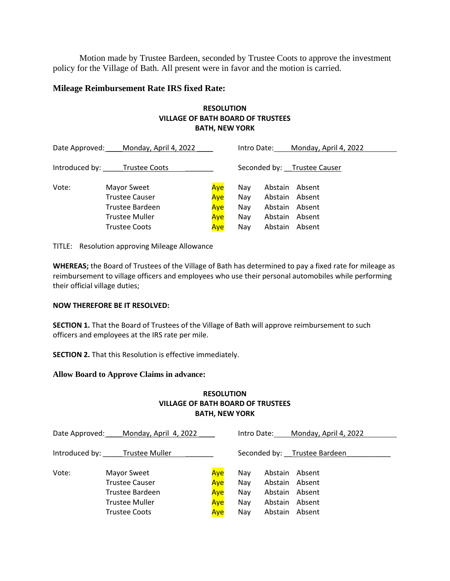Motion made by Trustee Bardeen, seconded by Trustee Coots to approve the investment policy for the Village of Bath. All present were in favor and the motion is carried.

#### **Mileage Reimbursement Rate IRS fixed Rate:**

# **RESOLUTION VILLAGE OF BATH BOARD OF TRUSTEES BATH, NEW YORK**

| Date Approved: | Monday, April 4, 2022        |     | Intro Date: |                | Monday, April 4, 2022       |
|----------------|------------------------------|-----|-------------|----------------|-----------------------------|
|                | Introduced by: Trustee Coots |     |             |                | Seconded by: Trustee Causer |
| Vote:          | Mayor Sweet                  | Aye | Nav         | Abstain        | Absent                      |
|                | <b>Trustee Causer</b>        | Aye | Nav         | Abstain Absent |                             |
|                | Trustee Bardeen              | Aye | Nav         | Abstain Absent |                             |
|                | <b>Trustee Muller</b>        | Aye | Nav         | Abstain Absent |                             |
|                | <b>Trustee Coots</b>         | Aye | Nav         | Abstain        | Absent                      |

TITLE: Resolution approving Mileage Allowance

**WHEREAS;** the Board of Trustees of the Village of Bath has determined to pay a fixed rate for mileage as reimbursement to village officers and employees who use their personal automobiles while performing their official village duties;

#### **NOW THEREFORE BE IT RESOLVED:**

**SECTION 1.** That the Board of Trustees of the Village of Bath will approve reimbursement to such officers and employees at the IRS rate per mile.

**SECTION 2.** That this Resolution is effective immediately.

#### **Allow Board to Approve Claims in advance:**

## **RESOLUTION VILLAGE OF BATH BOARD OF TRUSTEES BATH, NEW YORK**

| Date Approved: | Monday, April 4, 2022                                   |                   | Intro Date:       |                                                    | Monday, April 4, 2022        |
|----------------|---------------------------------------------------------|-------------------|-------------------|----------------------------------------------------|------------------------------|
|                | Introduced by: Trustee Muller                           |                   |                   |                                                    | Seconded by: Trustee Bardeen |
| Vote:          | Mayor Sweet<br><b>Trustee Causer</b><br>Trustee Bardeen | Aye<br>Aye<br>Aye | Nav<br>Nay<br>Nay | Abstain Absent<br>Abstain Absent<br>Abstain Absent |                              |
|                | <b>Trustee Muller</b>                                   | Aye               | Nay               | Abstain Absent                                     |                              |
|                | <b>Trustee Coots</b>                                    | Aye               | Nay               | Abstain Absent                                     |                              |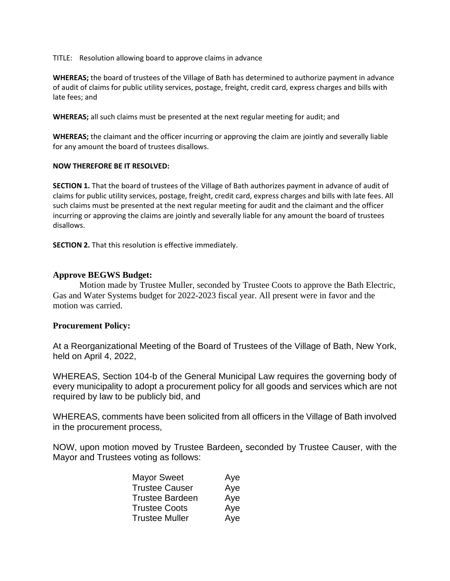TITLE: Resolution allowing board to approve claims in advance

**WHEREAS;** the board of trustees of the Village of Bath has determined to authorize payment in advance of audit of claims for public utility services, postage, freight, credit card, express charges and bills with late fees; and

**WHEREAS;** all such claims must be presented at the next regular meeting for audit; and

**WHEREAS;** the claimant and the officer incurring or approving the claim are jointly and severally liable for any amount the board of trustees disallows.

#### **NOW THEREFORE BE IT RESOLVED:**

**SECTION 1.** That the board of trustees of the Village of Bath authorizes payment in advance of audit of claims for public utility services, postage, freight, credit card, express charges and bills with late fees. All such claims must be presented at the next regular meeting for audit and the claimant and the officer incurring or approving the claims are jointly and severally liable for any amount the board of trustees disallows.

**SECTION 2.** That this resolution is effective immediately.

# **Approve BEGWS Budget:**

Motion made by Trustee Muller, seconded by Trustee Coots to approve the Bath Electric, Gas and Water Systems budget for 2022-2023 fiscal year. All present were in favor and the motion was carried.

## **Procurement Policy:**

At a Reorganizational Meeting of the Board of Trustees of the Village of Bath, New York, held on April 4, 2022,

WHEREAS, Section 104-b of the General Municipal Law requires the governing body of every municipality to adopt a procurement policy for all goods and services which are not required by law to be publicly bid, and

WHEREAS, comments have been solicited from all officers in the Village of Bath involved in the procurement process,

NOW, upon motion moved by Trustee Bardeen, seconded by Trustee Causer, with the Mayor and Trustees voting as follows:

| Aye |
|-----|
| Aye |
| Aye |
| Aye |
| Aye |
|     |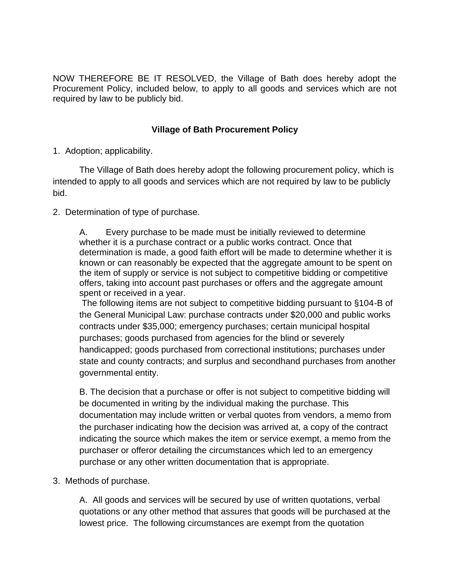NOW THEREFORE BE IT RESOLVED, the Village of Bath does hereby adopt the Procurement Policy, included below, to apply to all goods and services which are not required by law to be publicly bid.

# **Village of Bath Procurement Policy**

1. Adoption; applicability.

The Village of Bath does hereby adopt the following procurement policy, which is intended to apply to all goods and services which are not required by law to be publicly bid.

2. Determination of type of purchase.

A. Every purchase to be made must be initially reviewed to determine whether it is a purchase contract or a public works contract. Once that determination is made, a good faith effort will be made to determine whether it is known or can reasonably be expected that the aggregate amount to be spent on the item of supply or service is not subject to competitive bidding or competitive offers, taking into account past purchases or offers and the aggregate amount spent or received in a year.

The following items are not subject to competitive bidding pursuant to §104-B of the General Municipal Law: purchase contracts under \$20,000 and public works contracts under \$35,000; emergency purchases; certain municipal hospital purchases; goods purchased from agencies for the blind or severely handicapped; goods purchased from correctional institutions; purchases under state and county contracts; and surplus and secondhand purchases from another governmental entity.

B. The decision that a purchase or offer is not subject to competitive bidding will be documented in writing by the individual making the purchase. This documentation may include written or verbal quotes from vendors, a memo from the purchaser indicating how the decision was arrived at, a copy of the contract indicating the source which makes the item or service exempt, a memo from the purchaser or offeror detailing the circumstances which led to an emergency purchase or any other written documentation that is appropriate.

3. Methods of purchase.

A. All goods and services will be secured by use of written quotations, verbal quotations or any other method that assures that goods will be purchased at the lowest price. The following circumstances are exempt from the quotation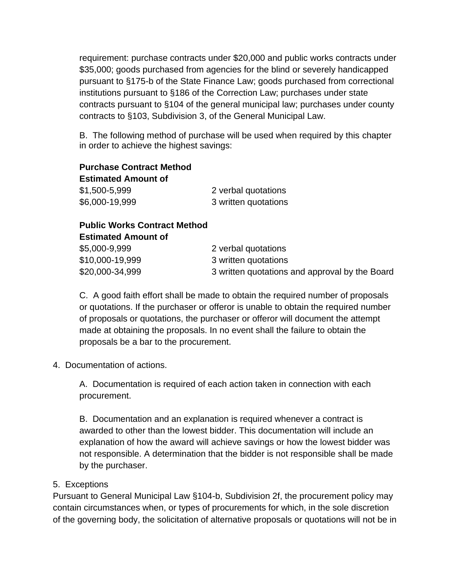requirement: purchase contracts under \$20,000 and public works contracts under \$35,000; goods purchased from agencies for the blind or severely handicapped pursuant to §175-b of the State Finance Law; goods purchased from correctional institutions pursuant to §186 of the Correction Law; purchases under state contracts pursuant to §104 of the general municipal law; purchases under county contracts to §103, Subdivision 3, of the General Municipal Law.

B. The following method of purchase will be used when required by this chapter in order to achieve the highest savings:

**Purchase Contract Method Estimated Amount of** \$1,500-5,999 2 verbal quotations \$6,000-19,999 3 written quotations

**Public Works Contract Method Estimated Amount of**

| \$5,000-9,999   | 2 verbal quotations                            |
|-----------------|------------------------------------------------|
| \$10,000-19,999 | 3 written quotations                           |
| \$20,000-34,999 | 3 written quotations and approval by the Board |

C. A good faith effort shall be made to obtain the required number of proposals or quotations. If the purchaser or offeror is unable to obtain the required number of proposals or quotations, the purchaser or offeror will document the attempt made at obtaining the proposals. In no event shall the failure to obtain the proposals be a bar to the procurement.

4. Documentation of actions.

A. Documentation is required of each action taken in connection with each procurement.

B. Documentation and an explanation is required whenever a contract is awarded to other than the lowest bidder. This documentation will include an explanation of how the award will achieve savings or how the lowest bidder was not responsible. A determination that the bidder is not responsible shall be made by the purchaser.

# 5. Exceptions

Pursuant to General Municipal Law §104-b, Subdivision 2f, the procurement policy may contain circumstances when, or types of procurements for which, in the sole discretion of the governing body, the solicitation of alternative proposals or quotations will not be in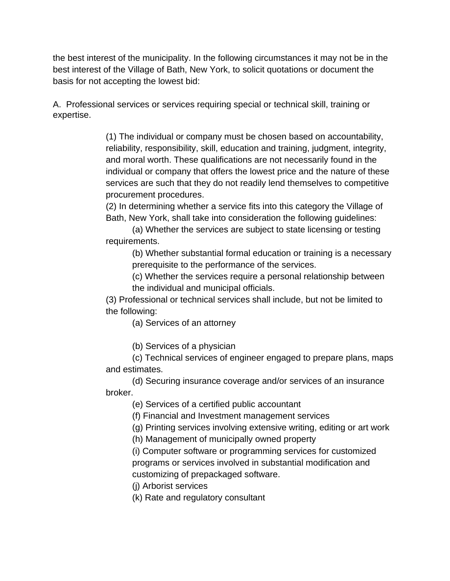the best interest of the municipality. In the following circumstances it may not be in the best interest of the Village of Bath, New York, to solicit quotations or document the basis for not accepting the lowest bid:

A. Professional services or services requiring special or technical skill, training or expertise.

> (1) The individual or company must be chosen based on accountability, reliability, responsibility, skill, education and training, judgment, integrity, and moral worth. These qualifications are not necessarily found in the individual or company that offers the lowest price and the nature of these services are such that they do not readily lend themselves to competitive procurement procedures.

(2) In determining whether a service fits into this category the Village of Bath, New York, shall take into consideration the following guidelines:

(a) Whether the services are subject to state licensing or testing requirements.

(b) Whether substantial formal education or training is a necessary prerequisite to the performance of the services.

(c) Whether the services require a personal relationship between the individual and municipal officials.

(3) Professional or technical services shall include, but not be limited to the following:

(a) Services of an attorney

(b) Services of a physician

(c) Technical services of engineer engaged to prepare plans, maps and estimates.

(d) Securing insurance coverage and/or services of an insurance broker.

(e) Services of a certified public accountant

(f) Financial and Investment management services

(g) Printing services involving extensive writing, editing or art work

(h) Management of municipally owned property

(i) Computer software or programming services for customized programs or services involved in substantial modification and customizing of prepackaged software.

(j) Arborist services

(k) Rate and regulatory consultant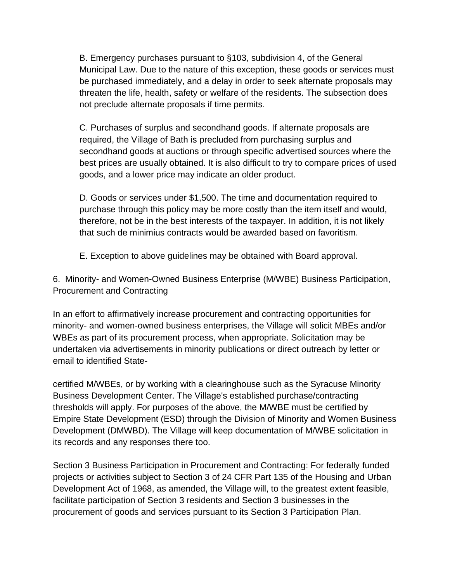B. Emergency purchases pursuant to §103, subdivision 4, of the General Municipal Law. Due to the nature of this exception, these goods or services must be purchased immediately, and a delay in order to seek alternate proposals may threaten the life, health, safety or welfare of the residents. The subsection does not preclude alternate proposals if time permits.

C. Purchases of surplus and secondhand goods. If alternate proposals are required, the Village of Bath is precluded from purchasing surplus and secondhand goods at auctions or through specific advertised sources where the best prices are usually obtained. It is also difficult to try to compare prices of used goods, and a lower price may indicate an older product.

D. Goods or services under \$1,500. The time and documentation required to purchase through this policy may be more costly than the item itself and would, therefore, not be in the best interests of the taxpayer. In addition, it is not likely that such de minimius contracts would be awarded based on favoritism.

E. Exception to above guidelines may be obtained with Board approval.

6. Minority- and Women-Owned Business Enterprise (M/WBE) Business Participation, Procurement and Contracting

In an effort to affirmatively increase procurement and contracting opportunities for minority- and women-owned business enterprises, the Village will solicit MBEs and/or WBEs as part of its procurement process, when appropriate. Solicitation may be undertaken via advertisements in minority publications or direct outreach by letter or email to identified State-

certified M/WBEs, or by working with a clearinghouse such as the Syracuse Minority Business Development Center. The Village's established purchase/contracting thresholds will apply. For purposes of the above, the M/WBE must be certified by Empire State Development (ESD) through the Division of Minority and Women Business Development (DMWBD). The Village will keep documentation of M/WBE solicitation in its records and any responses there too.

Section 3 Business Participation in Procurement and Contracting: For federally funded projects or activities subject to Section 3 of 24 CFR Part 135 of the Housing and Urban Development Act of 1968, as amended, the Village will, to the greatest extent feasible, facilitate participation of Section 3 residents and Section 3 businesses in the procurement of goods and services pursuant to its Section 3 Participation Plan.